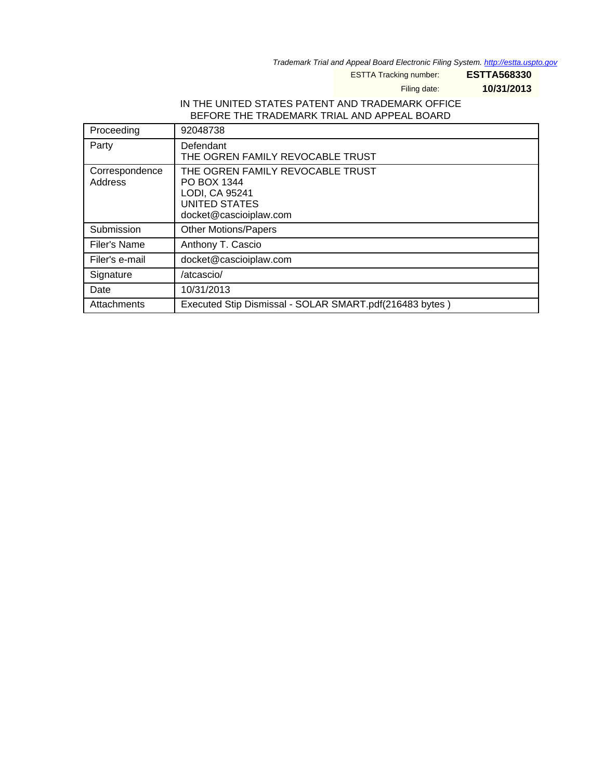Trademark Trial and Appeal Board Electronic Filing System. <http://estta.uspto.gov>

ESTTA Tracking number: **ESTTA568330**

Filing date: **10/31/2013**

# IN THE UNITED STATES PATENT AND TRADEMARK OFFICE BEFORE THE TRADEMARK TRIAL AND APPEAL BOARD

| Proceeding                | 92048738                                                                                                            |
|---------------------------|---------------------------------------------------------------------------------------------------------------------|
| Party                     | Defendant<br>THE OGREN FAMILY REVOCABLE TRUST                                                                       |
| Correspondence<br>Address | THE OGREN FAMILY REVOCABLE TRUST<br>PO BOX 1344<br>LODI, CA 95241<br><b>UNITED STATES</b><br>docket@cascioiplaw.com |
| Submission                | <b>Other Motions/Papers</b>                                                                                         |
| Filer's Name              | Anthony T. Cascio                                                                                                   |
| Filer's e-mail            | docket@cascioiplaw.com                                                                                              |
| Signature                 | /atcascio/                                                                                                          |
| Date                      | 10/31/2013                                                                                                          |
| Attachments               | Executed Stip Dismissal - SOLAR SMART.pdf(216483 bytes)                                                             |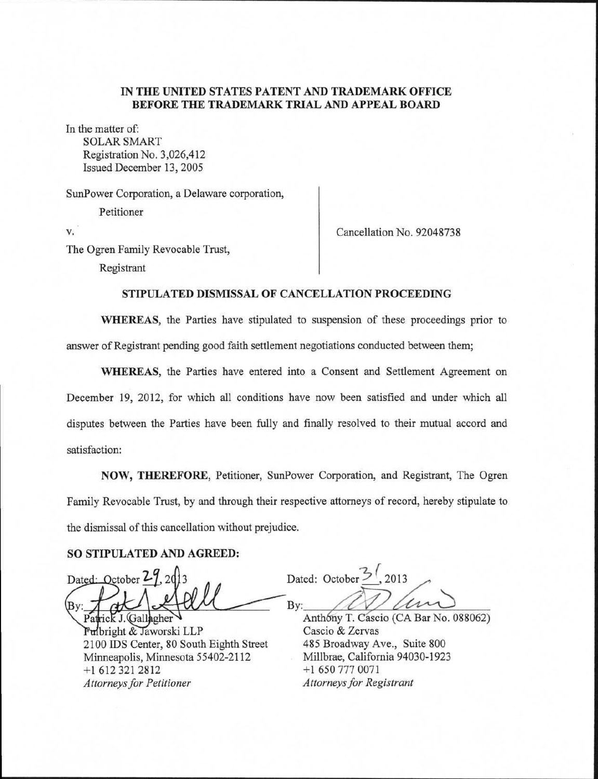## **IN THE UNITED STATES PATENT AND TRADEMARK OFFICE BEFORE THE TRADEMARK TRIAL AND APPEAL BOARD**

In the matter of: SOLAR SMART Registration No. 3,026,412

Issued December 13, 2005

SunPower Corporation, a Delaware corporation, Petitioner

v.

Cancellation No. 92048738

The Ogren Family Revocable Trust, Registrant

## **STIPULATED DISMISSAL OF CANCELLATION PROCEEDING**

**WHEREAS,** the Parties have stipulated to suspension of these proceedings prior to answer of Registrant pending good faith settlement negotiations conducted between them;

**WHEREAS,** the Parties have entered into a Consent and Settlement Agreement on December 19, 2012, for which all conditions have now been satisfied and under which all disputes between the Parties have been fully and finally resolved to their mutual accord and satisfaction:

**NOW, THEREFORE,** Petitioner, SunPower Corporation, and Registrant, The Ogren Family Revocable Trust, by and through their respective attorneys of record, hereby stipulate to the dismissal of this cancellation without prejudice.

#### **SO STIPULATED AND AGREED:**

Dated: October 27, 2013

Pat rick J. Gallagher Fulbright & Jaworski LLP 2100 IDS Center, 80 South Eighth Street Minneapolis, Minnesota 55402-2112 +1 612 321 2812 *Attorneys for Petitioner* 

Dated: October  $\frac{3}{2}$ , 2013  $\n By: \n *Arthonormalization* \n *Anthony T. Cascio (CA Bar No. 088062)*$ 

Cascio & Zervas 485 Broadway Ave., Suite 800 Millbrae, California 94030-1923 +1 650 777 0071 *Attorneys for Registrant*